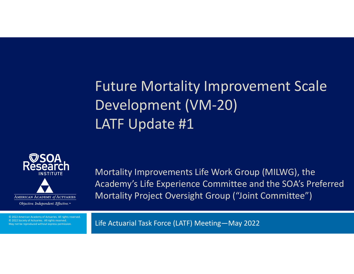## Future Mortality Improvement Scale Development (VM‐20) LATF Update #1



© 2022 American Academy of Actuaries. All rights reserved. © 2022 Society of Actuaries. All rights reserved. May not be reproduced without express permission.

Mortality Improvements Life Work Group (MILWG), the Academy's Life Experience Committee and the SOA's Preferred Mortality Project Oversight Group ("Joint Committee")

Life Actuarial Task Force (LATF) Meeting—May 2022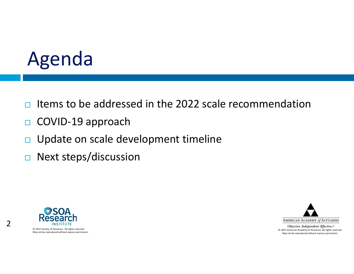## Agenda

- $\Box$ Items to be addressed in the 2022 scale recommendation
- $\Box$ COVID‐19 approach
- $\Box$ Update on scale development timeline
- $\Box$ Next steps/discussion



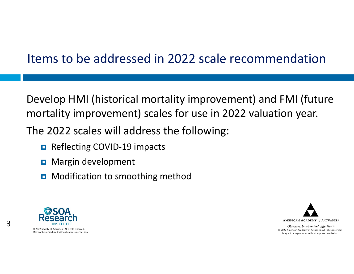### Items to be addressed in 2022 scale recommendation

Develop HMI (historical mortality improvement) and FMI (future mortality improvement) scales for use in 2022 valuation year.

The 2022 scales will address the following:

- Reflecting COVID-19 impacts
- **D** Margin development
- **D** Modification to smoothing method



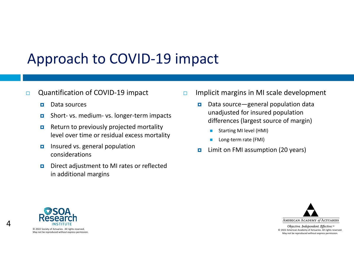#### $\Box$ Quantification of COVID‐19 impact

- п Data sources
- п Short‐ vs. medium‐ vs. longer‐term impacts
- $\blacksquare$  Return to previously projected mortality level over time or residual excess mortality
- $\blacksquare$  Insured vs. general population considerations
- $\blacksquare$  Direct adjustment to MI rates or reflected in additional margins
- $\Box$  Implicit margins in MI scale development
	- п Data source—general population data unadjusted for insured population differences (largest source of margin)
		- п Starting MI level (HMI)
		- П Long‐term rate (FMI)
	- **D** Limit on FMI assumption (20 years)



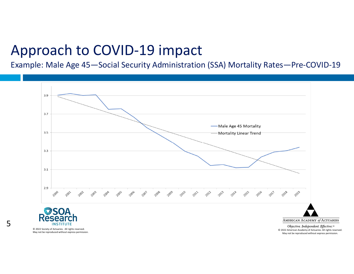Example: Male Age 45—Social Security Administration (SSA) Mortality Rates—Pre‐COVID‐19



© 2022 Society of Actuaries. All rights reserved. May not be reproduced without express permission.

5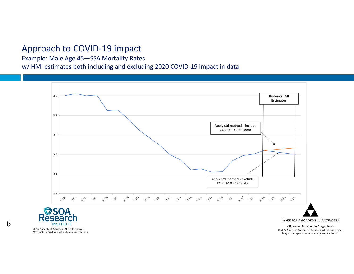Example: Male Age 45—SSA Mortality Rates

w/ HMI estimates both including and excluding 2020 COVID‐19 impact in data



6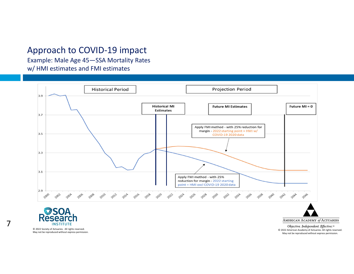Example: Male Age 45—SSA Mortality Rates w/ HMI estimates and FMI estimates





© 2022 Society of Actuaries. All rights reserved. May not be reproduced without express permission. AMERICAN ACADEMY of ACTUARIES Objective. Independent. Effective.™

© 2022 American Academy of Actuaries. All rights reserved. May not be reproduced without express permission.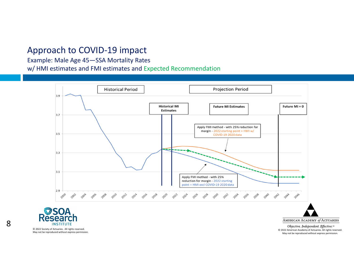Example: Male Age 45—SSA Mortality Rates

w/ HMI estimates and FMI estimates and Expected Recommendation



© 2022 Society of Actuaries. All rights reserved. May not be reproduced without express permission. AMERICAN ACADEMY of ACTUARIES Objective. Independent. Effective.™

© 2022 American Academy of Actuaries. All rights reserved. May not be reproduced without express permission.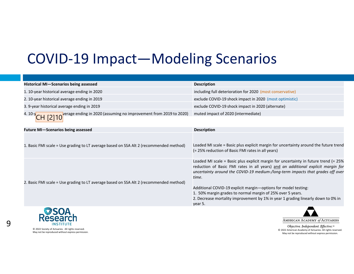### COVID‐19 Impact—Modeling Scenarios

| Historical MI-Scenarios being assessed                                                                         | <b>Description</b>                                                                                                                                                                                                                                                                                                                                                                                                                                                                                |
|----------------------------------------------------------------------------------------------------------------|---------------------------------------------------------------------------------------------------------------------------------------------------------------------------------------------------------------------------------------------------------------------------------------------------------------------------------------------------------------------------------------------------------------------------------------------------------------------------------------------------|
| 1.10-year historical average ending in 2020                                                                    | including full deterioration for 2020 (most conservative)                                                                                                                                                                                                                                                                                                                                                                                                                                         |
| 2. 10-year historical average ending in 2019                                                                   | exclude COVID-19 shock impact in 2020 (most optimistic)                                                                                                                                                                                                                                                                                                                                                                                                                                           |
| 3. 9-year historical average ending in 2019                                                                    | exclude COVID-19 shock impact in 2020 (alternate)                                                                                                                                                                                                                                                                                                                                                                                                                                                 |
| $\overline{CH}$ [2] 10 <sup>Verage</sup> ending in 2020 (assuming no improvement from 2019 to 2020)<br>4. 10-у | muted impact of 2020 (intermediate)                                                                                                                                                                                                                                                                                                                                                                                                                                                               |
| <b>Future MI-Scenarios being assessed</b>                                                                      | <b>Description</b>                                                                                                                                                                                                                                                                                                                                                                                                                                                                                |
| 1. Basic FMI scale = Use grading to LT average based on SSA Alt 2 (recommended method)                         | Loaded MI scale = Basic plus explicit margin for uncertainty around the future trend<br>(= 25% reduction of Basic FMI rates in all years)                                                                                                                                                                                                                                                                                                                                                         |
| 2. Basic FMI scale = Use grading to LT average based on SSA Alt 2 (recommended method)                         | Loaded MI scale = Basic plus explicit margin for uncertainty in future trend (= 25%<br>reduction of Basic FMI rates in all years) and an additional explicit margin for<br>uncertainty around the COVID-19 medium-/long-term impacts that grades off over<br>time.<br>Additional COVID-19 explicit margin-options for model testing:<br>1. 50% margin grades to normal margin of 25% over 5 years.<br>2. Decrease mortality improvement by 1% in year 1 grading linearly down to 0% in<br>year 5. |
| $\sim$ $\sim$ $\sim$ $\sim$                                                                                    |                                                                                                                                                                                                                                                                                                                                                                                                                                                                                                   |



© 2022 Society of Actuaries. All rights reserved. May not be reproduced without express permission.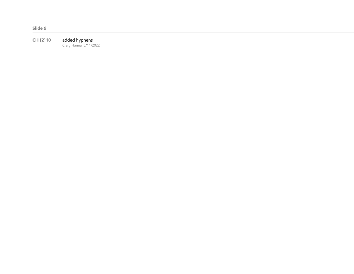**CH [2]10** added hyphens Craig Hanna, 5/11/2022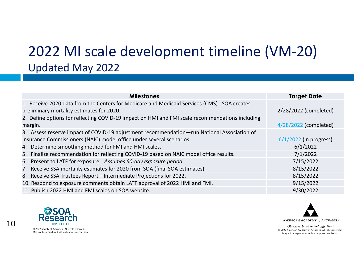### 2022 MI scale development timeline (VM‐20) Updated May 2022

| <b>Milestones</b>                                                                               | <b>Target Date</b>       |
|-------------------------------------------------------------------------------------------------|--------------------------|
| 1. Receive 2020 data from the Centers for Medicare and Medicaid Services (CMS). SOA creates     |                          |
| preliminary mortality estimates for 2020.                                                       | 2/28/2022 (completed)    |
| 2. Define options for reflecting COVID-19 impact on HMI and FMI scale recommendations including |                          |
| margin.                                                                                         | 4/28/2022 (completed)    |
| 3. Assess reserve impact of COVID-19 adjustment recommendation-run National Association of      |                          |
| Insurance Commissioners (NAIC) model office under several scenarios.                            | $6/1/2022$ (in progress) |
| 4. Determine smoothing method for FMI and HMI scales.                                           | 6/1/2022                 |
| 5. Finalize recommendation for reflecting COVID-19 based on NAIC model office results.          | 7/1/2022                 |
| 6. Present to LATF for exposure. Assumes 60-day exposure period.                                | 7/15/2022                |
| 7. Receive SSA mortality estimates for 2020 from SOA (final SOA estimates).                     | 8/15/2022                |
| 8. Receive SSA Trustees Report-Intermediate Projections for 2022.                               | 8/15/2022                |
| 10. Respond to exposure comments obtain LATF approval of 2022 HMI and FMI.                      | 9/15/2022                |
| 11. Publish 2022 HMI and FMI scales on SOA website.                                             | 9/30/2022                |



10

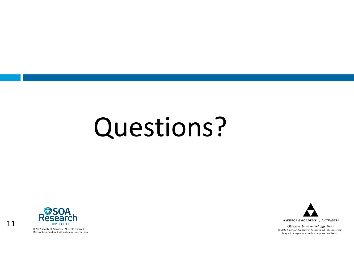# Questions?



11

© 2022 Society of Actuaries. All rights reserved. May not be reproduced without express permission.

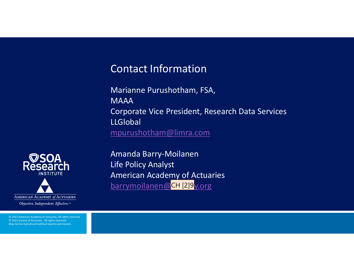### Contact Information

Marianne Purushotham, FSA, **MAAA** Corporate Vice President, Research Data Services LLGlobal mpurushotham@limra.com



© 2022 American Academy of Actuaries. All rights reserved. © 2022 Society of Actuaries. All rights reserved. May not be reproduced without express permission.

Amanda Barry‐Moilanen Life Policy Analyst American Academy of Actuaries barrymoilanen@CH [2]9<sub>V.Org</sub>